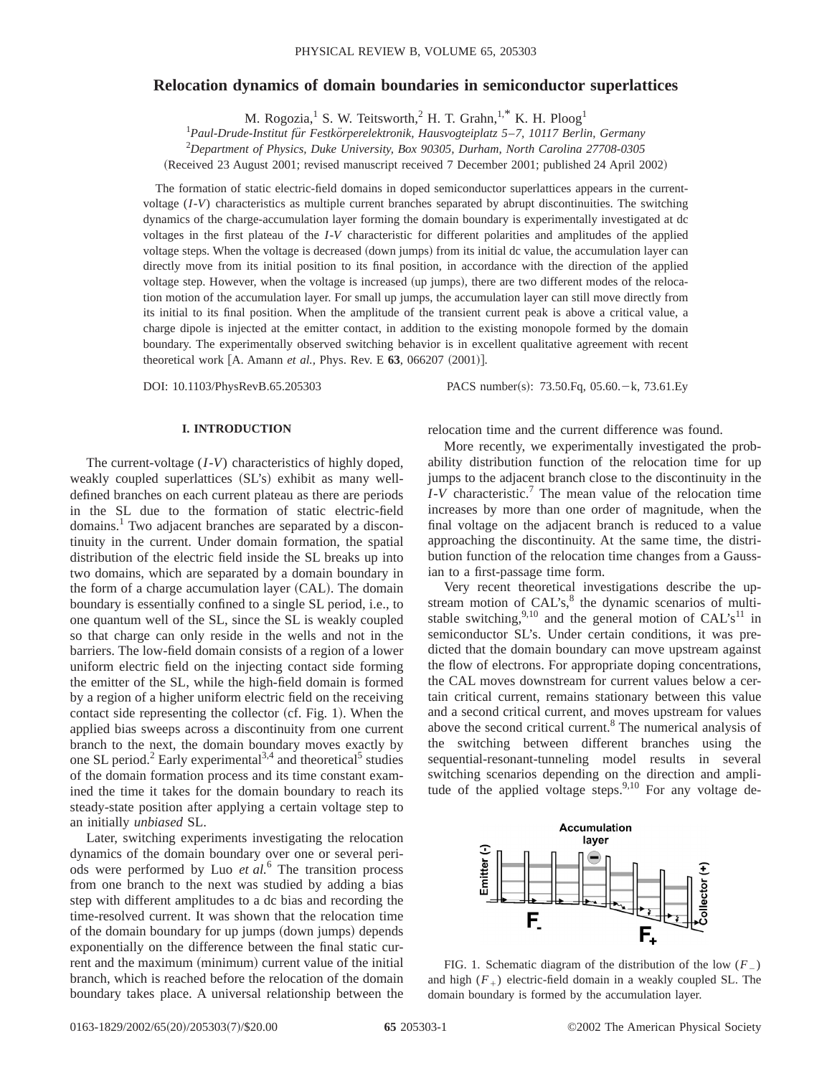# **Relocation dynamics of domain boundaries in semiconductor superlattices**

M. Rogozia,<sup>1</sup> S. W. Teitsworth,<sup>2</sup> H. T. Grahn,<sup>1,\*</sup> K. H. Ploog<sup>1</sup>

1 *Paul-Drude-Institut fu¨r Festko¨rperelektronik, Hausvogteiplatz 5*–*7, 10117 Berlin, Germany*

2 *Department of Physics, Duke University, Box 90305, Durham, North Carolina 27708-0305*

(Received 23 August 2001; revised manuscript received 7 December 2001; published 24 April 2002)

The formation of static electric-field domains in doped semiconductor superlattices appears in the currentvoltage (*I*-*V*) characteristics as multiple current branches separated by abrupt discontinuities. The switching dynamics of the charge-accumulation layer forming the domain boundary is experimentally investigated at dc voltages in the first plateau of the *I*-*V* characteristic for different polarities and amplitudes of the applied voltage steps. When the voltage is decreased (down jumps) from its initial dc value, the accumulation layer can directly move from its initial position to its final position, in accordance with the direction of the applied voltage step. However, when the voltage is increased (up jumps), there are two different modes of the relocation motion of the accumulation layer. For small up jumps, the accumulation layer can still move directly from its initial to its final position. When the amplitude of the transient current peak is above a critical value, a charge dipole is injected at the emitter contact, in addition to the existing monopole formed by the domain boundary. The experimentally observed switching behavior is in excellent qualitative agreement with recent theoretical work [A. Amann *et al.*, Phys. Rev. E 63, 066207 (2001)].

DOI: 10.1103/PhysRevB.65.205303 PACS number(s): 73.50.Fq, 05.60. - k, 73.61.Ey

# **I. INTRODUCTION**

The current-voltage (*I*-*V*) characteristics of highly doped, weakly coupled superlattices (SL's) exhibit as many welldefined branches on each current plateau as there are periods in the SL due to the formation of static electric-field domains.<sup>1</sup> Two adjacent branches are separated by a discontinuity in the current. Under domain formation, the spatial distribution of the electric field inside the SL breaks up into two domains, which are separated by a domain boundary in the form of a charge accumulation layer  $(CAL)$ . The domain boundary is essentially confined to a single SL period, i.e., to one quantum well of the SL, since the SL is weakly coupled so that charge can only reside in the wells and not in the barriers. The low-field domain consists of a region of a lower uniform electric field on the injecting contact side forming the emitter of the SL, while the high-field domain is formed by a region of a higher uniform electric field on the receiving contact side representing the collector  $(cf. Fig. 1)$ . When the applied bias sweeps across a discontinuity from one current branch to the next, the domain boundary moves exactly by one SL period.<sup>2</sup> Early experimental<sup>3,4</sup> and theoretical<sup>5</sup> studies of the domain formation process and its time constant examined the time it takes for the domain boundary to reach its steady-state position after applying a certain voltage step to an initially *unbiased* SL.

Later, switching experiments investigating the relocation dynamics of the domain boundary over one or several periods were performed by Luo *et al.*<sup>6</sup> The transition process from one branch to the next was studied by adding a bias step with different amplitudes to a dc bias and recording the time-resolved current. It was shown that the relocation time of the domain boundary for up jumps (down jumps) depends exponentially on the difference between the final static current and the maximum (minimum) current value of the initial branch, which is reached before the relocation of the domain boundary takes place. A universal relationship between the

relocation time and the current difference was found.

More recently, we experimentally investigated the probability distribution function of the relocation time for up jumps to the adjacent branch close to the discontinuity in the *I*-*V* characteristic.7 The mean value of the relocation time increases by more than one order of magnitude, when the final voltage on the adjacent branch is reduced to a value approaching the discontinuity. At the same time, the distribution function of the relocation time changes from a Gaussian to a first-passage time form.

Very recent theoretical investigations describe the upstream motion of CAL's, $8$  the dynamic scenarios of multistable switching,<sup>9,10</sup> and the general motion of  $CALs^{11}$  in semiconductor SL's. Under certain conditions, it was predicted that the domain boundary can move upstream against the flow of electrons. For appropriate doping concentrations, the CAL moves downstream for current values below a certain critical current, remains stationary between this value and a second critical current, and moves upstream for values above the second critical current.<sup>8</sup> The numerical analysis of the switching between different branches using the sequential-resonant-tunneling model results in several switching scenarios depending on the direction and amplitude of the applied voltage steps.<sup>9,10</sup> For any voltage de-



FIG. 1. Schematic diagram of the distribution of the low  $(F_+)$ and high  $(F<sub>+</sub>)$  electric-field domain in a weakly coupled SL. The domain boundary is formed by the accumulation layer.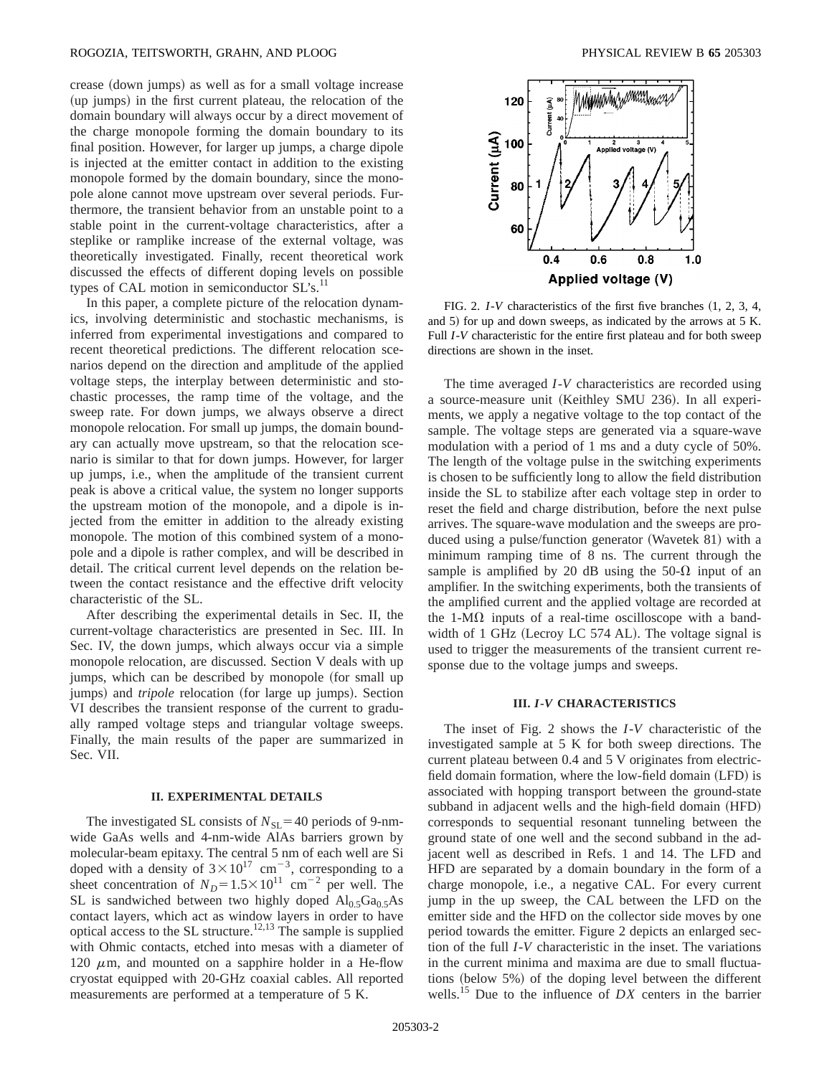#### ROGOZIA, TEITSWORTH, GRAHN, AND PLOOG PHYSICAL REVIEW B **65** 205303

crease (down jumps) as well as for a small voltage increase (up jumps) in the first current plateau, the relocation of the domain boundary will always occur by a direct movement of the charge monopole forming the domain boundary to its final position. However, for larger up jumps, a charge dipole is injected at the emitter contact in addition to the existing monopole formed by the domain boundary, since the monopole alone cannot move upstream over several periods. Furthermore, the transient behavior from an unstable point to a stable point in the current-voltage characteristics, after a steplike or ramplike increase of the external voltage, was theoretically investigated. Finally, recent theoretical work discussed the effects of different doping levels on possible types of CAL motion in semiconductor  $SL's$ .<sup>11</sup>

In this paper, a complete picture of the relocation dynamics, involving deterministic and stochastic mechanisms, is inferred from experimental investigations and compared to recent theoretical predictions. The different relocation scenarios depend on the direction and amplitude of the applied voltage steps, the interplay between deterministic and stochastic processes, the ramp time of the voltage, and the sweep rate. For down jumps, we always observe a direct monopole relocation. For small up jumps, the domain boundary can actually move upstream, so that the relocation scenario is similar to that for down jumps. However, for larger up jumps, i.e., when the amplitude of the transient current peak is above a critical value, the system no longer supports the upstream motion of the monopole, and a dipole is injected from the emitter in addition to the already existing monopole. The motion of this combined system of a monopole and a dipole is rather complex, and will be described in detail. The critical current level depends on the relation between the contact resistance and the effective drift velocity characteristic of the SL.

After describing the experimental details in Sec. II, the current-voltage characteristics are presented in Sec. III. In Sec. IV, the down jumps, which always occur via a simple monopole relocation, are discussed. Section V deals with up jumps, which can be described by monopole (for small up jumps) and *tripole* relocation (for large up jumps). Section VI describes the transient response of the current to gradually ramped voltage steps and triangular voltage sweeps. Finally, the main results of the paper are summarized in Sec. VII.

## **II. EXPERIMENTAL DETAILS**

The investigated SL consists of  $N_{\text{SL}}$ =40 periods of 9-nmwide GaAs wells and 4-nm-wide AlAs barriers grown by molecular-beam epitaxy. The central 5 nm of each well are Si doped with a density of  $3 \times 10^{17}$  cm<sup>-3</sup>, corresponding to a sheet concentration of  $N_D = 1.5 \times 10^{11}$  cm<sup>-2</sup> per well. The SL is sandwiched between two highly doped  $Al_0$ ,  $Ga_0$ ,  $As$ contact layers, which act as window layers in order to have optical access to the SL structure.12,13 The sample is supplied with Ohmic contacts, etched into mesas with a diameter of 120  $\mu$ m, and mounted on a sapphire holder in a He-flow cryostat equipped with 20-GHz coaxial cables. All reported measurements are performed at a temperature of 5 K.



FIG. 2.  $I-V$  characteristics of the first five branches  $(1, 2, 3, 4, ...)$ and 5) for up and down sweeps, as indicated by the arrows at  $5$  K. Full *I*-*V* characteristic for the entire first plateau and for both sweep directions are shown in the inset.

The time averaged *I*-*V* characteristics are recorded using a source-measure unit (Keithley SMU 236). In all experiments, we apply a negative voltage to the top contact of the sample. The voltage steps are generated via a square-wave modulation with a period of 1 ms and a duty cycle of 50%. The length of the voltage pulse in the switching experiments is chosen to be sufficiently long to allow the field distribution inside the SL to stabilize after each voltage step in order to reset the field and charge distribution, before the next pulse arrives. The square-wave modulation and the sweeps are produced using a pulse/function generator (Wavetek 81) with a minimum ramping time of 8 ns. The current through the sample is amplified by 20 dB using the 50- $\Omega$  input of an amplifier. In the switching experiments, both the transients of the amplified current and the applied voltage are recorded at the 1-M $\Omega$  inputs of a real-time oscilloscope with a bandwidth of 1 GHz (Lecroy LC 574 AL). The voltage signal is used to trigger the measurements of the transient current response due to the voltage jumps and sweeps.

# **III.** *I***-***V* **CHARACTERISTICS**

The inset of Fig. 2 shows the *I*-*V* characteristic of the investigated sample at 5 K for both sweep directions. The current plateau between 0.4 and 5 V originates from electricfield domain formation, where the low-field domain (LFD) is associated with hopping transport between the ground-state subband in adjacent wells and the high-field domain (HFD) corresponds to sequential resonant tunneling between the ground state of one well and the second subband in the adjacent well as described in Refs. 1 and 14. The LFD and HFD are separated by a domain boundary in the form of a charge monopole, i.e., a negative CAL. For every current jump in the up sweep, the CAL between the LFD on the emitter side and the HFD on the collector side moves by one period towards the emitter. Figure 2 depicts an enlarged section of the full *I*-*V* characteristic in the inset. The variations in the current minima and maxima are due to small fluctuations (below  $5\%$ ) of the doping level between the different wells.15 Due to the influence of *DX* centers in the barrier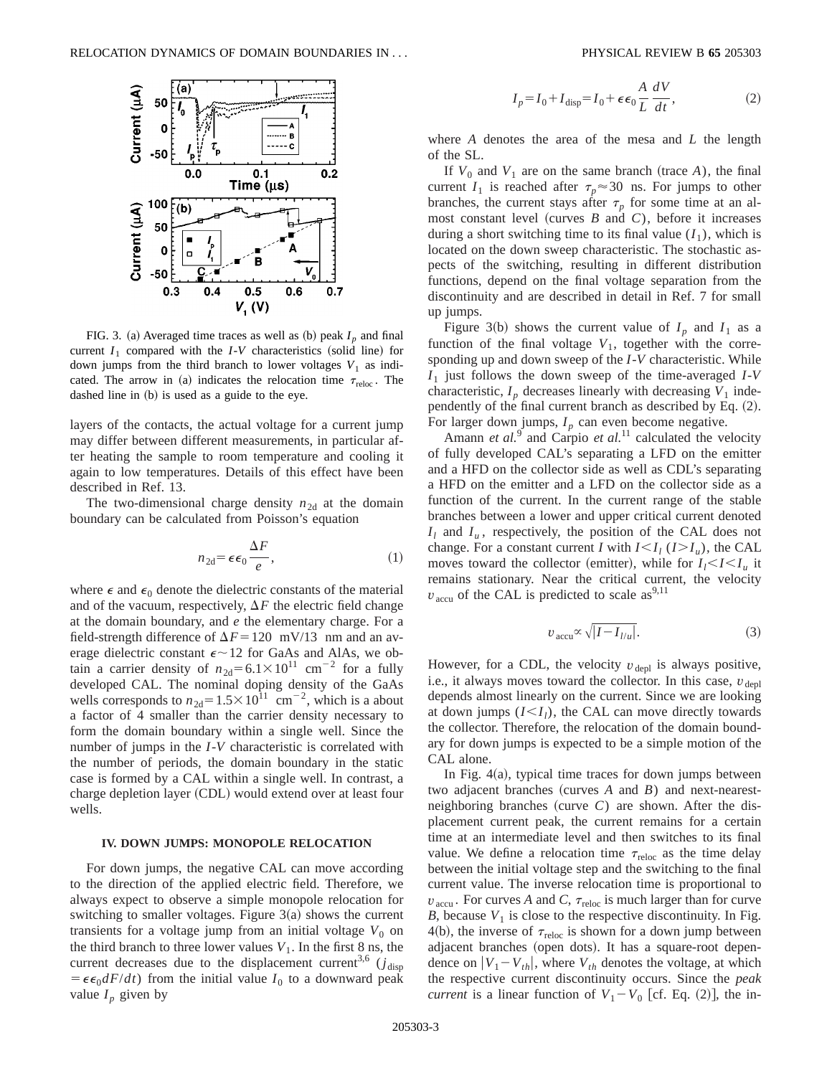

FIG. 3. (a) Averaged time traces as well as (b) peak  $I_p$  and final current  $I_1$  compared with the *I*-*V* characteristics (solid line) for down jumps from the third branch to lower voltages  $V_1$  as indicated. The arrow in (a) indicates the relocation time  $\tau_{\text{reloc}}$ . The dashed line in  $(b)$  is used as a guide to the eye.

layers of the contacts, the actual voltage for a current jump may differ between different measurements, in particular after heating the sample to room temperature and cooling it again to low temperatures. Details of this effect have been described in Ref. 13.

The two-dimensional charge density  $n_{2d}$  at the domain boundary can be calculated from Poisson's equation

$$
n_{2d} = \epsilon \epsilon_0 \frac{\Delta F}{e},\tag{1}
$$

where  $\epsilon$  and  $\epsilon_0$  denote the dielectric constants of the material and of the vacuum, respectively,  $\Delta F$  the electric field change at the domain boundary, and *e* the elementary charge. For a field-strength difference of  $\Delta F = 120$  mV/13 nm and an average dielectric constant  $\epsilon \sim 12$  for GaAs and AlAs, we obtain a carrier density of  $n_{2d} = 6.1 \times 10^{11}$  cm<sup>-2</sup> for a fully developed CAL. The nominal doping density of the GaAs wells corresponds to  $n_{2d} = 1.5 \times 10^{11}$  cm<sup>-2</sup>, which is a about a factor of 4 smaller than the carrier density necessary to form the domain boundary within a single well. Since the number of jumps in the *I*-*V* characteristic is correlated with the number of periods, the domain boundary in the static case is formed by a CAL within a single well. In contrast, a charge depletion layer (CDL) would extend over at least four wells.

### **IV. DOWN JUMPS: MONOPOLE RELOCATION**

For down jumps, the negative CAL can move according to the direction of the applied electric field. Therefore, we always expect to observe a simple monopole relocation for switching to smaller voltages. Figure  $3(a)$  shows the current transients for a voltage jump from an initial voltage  $V_0$  on the third branch to three lower values  $V_1$ . In the first 8 ns, the current decreases due to the displacement current<sup>3,6</sup> ( $j_{\text{disp}}$ )  $= \epsilon \epsilon_0 dF/dt$  from the initial value  $I_0$  to a downward peak value  $I_p$  given by

$$
I_p = I_0 + I_{\text{disp}} = I_0 + \epsilon \epsilon_0 \frac{A}{L} \frac{dV}{dt},
$$
\n(2)

where *A* denotes the area of the mesa and *L* the length of the SL.

If  $V_0$  and  $V_1$  are on the same branch (trace *A*), the final current  $I_1$  is reached after  $\tau_p \approx 30$  ns. For jumps to other branches, the current stays after  $\tau_p$  for some time at an almost constant level (curves  $B$  and  $C$ ), before it increases during a short switching time to its final value  $(I_1)$ , which is located on the down sweep characteristic. The stochastic aspects of the switching, resulting in different distribution functions, depend on the final voltage separation from the discontinuity and are described in detail in Ref. 7 for small up jumps.

Figure 3(b) shows the current value of  $I_p$  and  $I_1$  as a function of the final voltage  $V_1$ , together with the corresponding up and down sweep of the *I*-*V* characteristic. While *I*<sup>1</sup> just follows the down sweep of the time-averaged *I*-*V* characteristic,  $I_p$  decreases linearly with decreasing  $V_1$  independently of the final current branch as described by Eq.  $(2)$ . For larger down jumps,  $I_p$  can even become negative.

Amann *et al.*<sup>9</sup> and Carpio *et al.*<sup>11</sup> calculated the velocity of fully developed CAL's separating a LFD on the emitter and a HFD on the collector side as well as CDL's separating a HFD on the emitter and a LFD on the collector side as a function of the current. In the current range of the stable branches between a lower and upper critical current denoted  $I_l$  and  $I_u$ , respectively, the position of the CAL does not change. For a constant current *I* with  $I \leq I_i$  ( $I \geq I_u$ ), the CAL moves toward the collector (emitter), while for  $I_1 \leq I \leq I_u$  it remains stationary. Near the critical current, the velocity  $v_{\text{accu}}$  of the CAL is predicted to scale as<sup>9,11</sup>

$$
v_{\text{accu}} \propto \sqrt{|I - I_{l/u}|}. \tag{3}
$$

However, for a CDL, the velocity  $v_{\text{depl}}$  is always positive, i.e., it always moves toward the collector. In this case,  $v_{\text{denl}}$ depends almost linearly on the current. Since we are looking at down jumps  $(I \leq I_i)$ , the CAL can move directly towards the collector. Therefore, the relocation of the domain boundary for down jumps is expected to be a simple motion of the CAL alone.

In Fig.  $4(a)$ , typical time traces for down jumps between two adjacent branches (curves  $A$  and  $B$ ) and next-nearestneighboring branches (curve  $C$ ) are shown. After the displacement current peak, the current remains for a certain time at an intermediate level and then switches to its final value. We define a relocation time  $\tau_{\text{reloc}}$  as the time delay between the initial voltage step and the switching to the final current value. The inverse relocation time is proportional to  $v_{\text{accu}}$ . For curves *A* and *C*,  $\tau_{\text{reloc}}$  is much larger than for curve *B*, because  $V_1$  is close to the respective discontinuity. In Fig. 4(b), the inverse of  $\tau_{\text{reloc}}$  is shown for a down jump between adjacent branches (open dots). It has a square-root dependence on  $|V_1 - V_{th}|$ , where  $V_{th}$  denotes the voltage, at which the respective current discontinuity occurs. Since the *peak current* is a linear function of  $V_1 - V_0$  [cf. Eq. (2)], the in-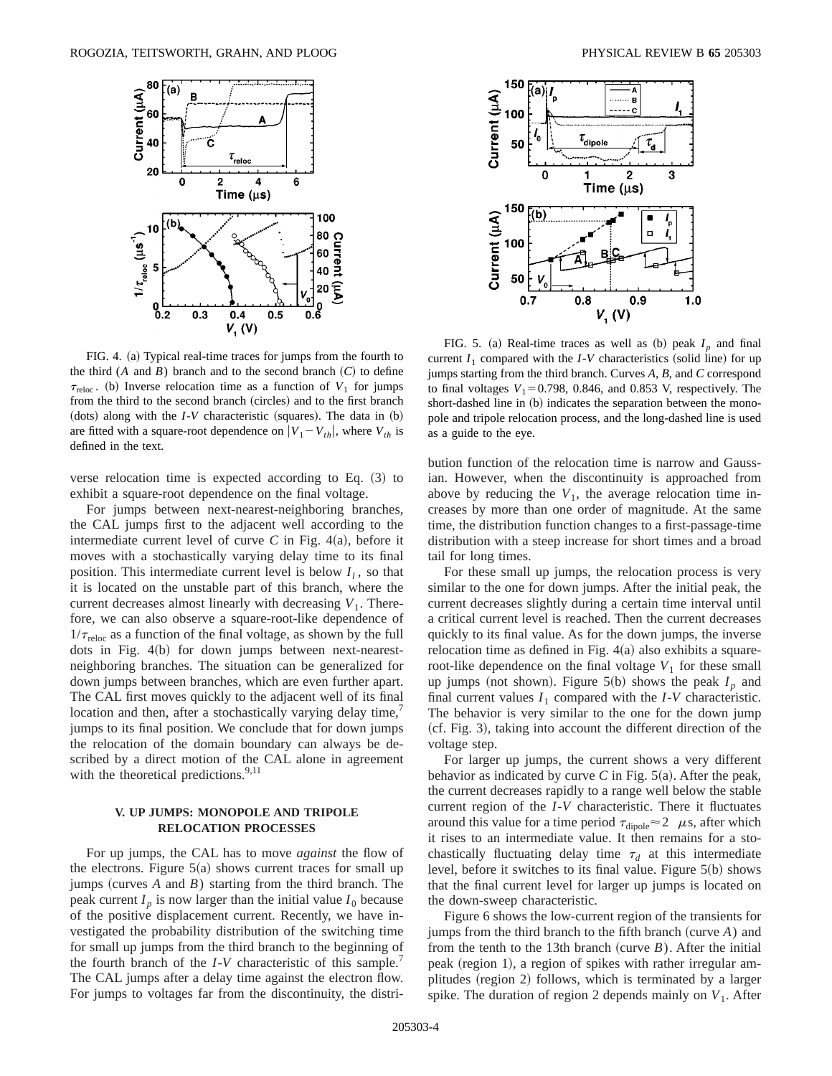

FIG. 4. (a) Typical real-time traces for jumps from the fourth to the third  $(A \text{ and } B)$  branch and to the second branch  $(C)$  to define  $\tau_{\text{reloc}}$ . (b) Inverse relocation time as a function of  $V_1$  for jumps from the third to the second branch (circles) and to the first branch (dots) along with the  $I-V$  characteristic (squares). The data in  $(b)$ are fitted with a square-root dependence on  $|V_1 - V_{th}|$ , where  $V_{th}$  is defined in the text.

verse relocation time is expected according to Eq.  $(3)$  to exhibit a square-root dependence on the final voltage.

For jumps between next-nearest-neighboring branches, the CAL jumps first to the adjacent well according to the intermediate current level of curve  $C$  in Fig. 4 $(a)$ , before it moves with a stochastically varying delay time to its final position. This intermediate current level is below  $I_l$ , so that it is located on the unstable part of this branch, where the current decreases almost linearly with decreasing  $V_1$ . Therefore, we can also observe a square-root-like dependence of  $1/\tau_{\text{reloc}}$  as a function of the final voltage, as shown by the full dots in Fig.  $4(b)$  for down jumps between next-nearestneighboring branches. The situation can be generalized for down jumps between branches, which are even further apart. The CAL first moves quickly to the adjacent well of its final location and then, after a stochastically varying delay time, jumps to its final position. We conclude that for down jumps the relocation of the domain boundary can always be described by a direct motion of the CAL alone in agreement with the theoretical predictions. $9,11$ 

# **V. UP JUMPS: MONOPOLE AND TRIPOLE RELOCATION PROCESSES**

For up jumps, the CAL has to move *against* the flow of the electrons. Figure  $5(a)$  shows current traces for small up jumps (curves  $A$  and  $B$ ) starting from the third branch. The peak current  $I_p$  is now larger than the initial value  $I_0$  because of the positive displacement current. Recently, we have investigated the probability distribution of the switching time for small up jumps from the third branch to the beginning of the fourth branch of the *I*-*V* characteristic of this sample.7 The CAL jumps after a delay time against the electron flow. For jumps to voltages far from the discontinuity, the distri-



FIG. 5. (a) Real-time traces as well as (b) peak  $I_p$  and final current  $I_1$  compared with the  $I-V$  characteristics (solid line) for up jumps starting from the third branch. Curves *A*, *B*, and *C* correspond to final voltages  $V_1$ =0.798, 0.846, and 0.853 V, respectively. The short-dashed line in (b) indicates the separation between the monopole and tripole relocation process, and the long-dashed line is used as a guide to the eye.

bution function of the relocation time is narrow and Gaussian. However, when the discontinuity is approached from above by reducing the  $V_1$ , the average relocation time increases by more than one order of magnitude. At the same time, the distribution function changes to a first-passage-time distribution with a steep increase for short times and a broad tail for long times.

For these small up jumps, the relocation process is very similar to the one for down jumps. After the initial peak, the current decreases slightly during a certain time interval until a critical current level is reached. Then the current decreases quickly to its final value. As for the down jumps, the inverse relocation time as defined in Fig.  $4(a)$  also exhibits a squareroot-like dependence on the final voltage  $V_1$  for these small up jumps (not shown). Figure 5(b) shows the peak  $I_p$  and final current values  $I_1$  compared with the  $I-V$  characteristic. The behavior is very similar to the one for the down jump  $(cf. Fig. 3)$ , taking into account the different direction of the voltage step.

For larger up jumps, the current shows a very different behavior as indicated by curve  $C$  in Fig. 5(a). After the peak, the current decreases rapidly to a range well below the stable current region of the *I*-*V* characteristic. There it fluctuates around this value for a time period  $\tau_{\text{dipole}} \approx 2$   $\mu$ s, after which it rises to an intermediate value. It then remains for a stochastically fluctuating delay time  $\tau_d$  at this intermediate level, before it switches to its final value. Figure  $5(b)$  shows that the final current level for larger up jumps is located on the down-sweep characteristic.

Figure 6 shows the low-current region of the transients for jumps from the third branch to the fifth branch (curve  $A$ ) and from the tenth to the 13th branch (curve  $B$ ). After the initial peak (region 1), a region of spikes with rather irregular amplitudes (region 2) follows, which is terminated by a larger spike. The duration of region 2 depends mainly on  $V_1$ . After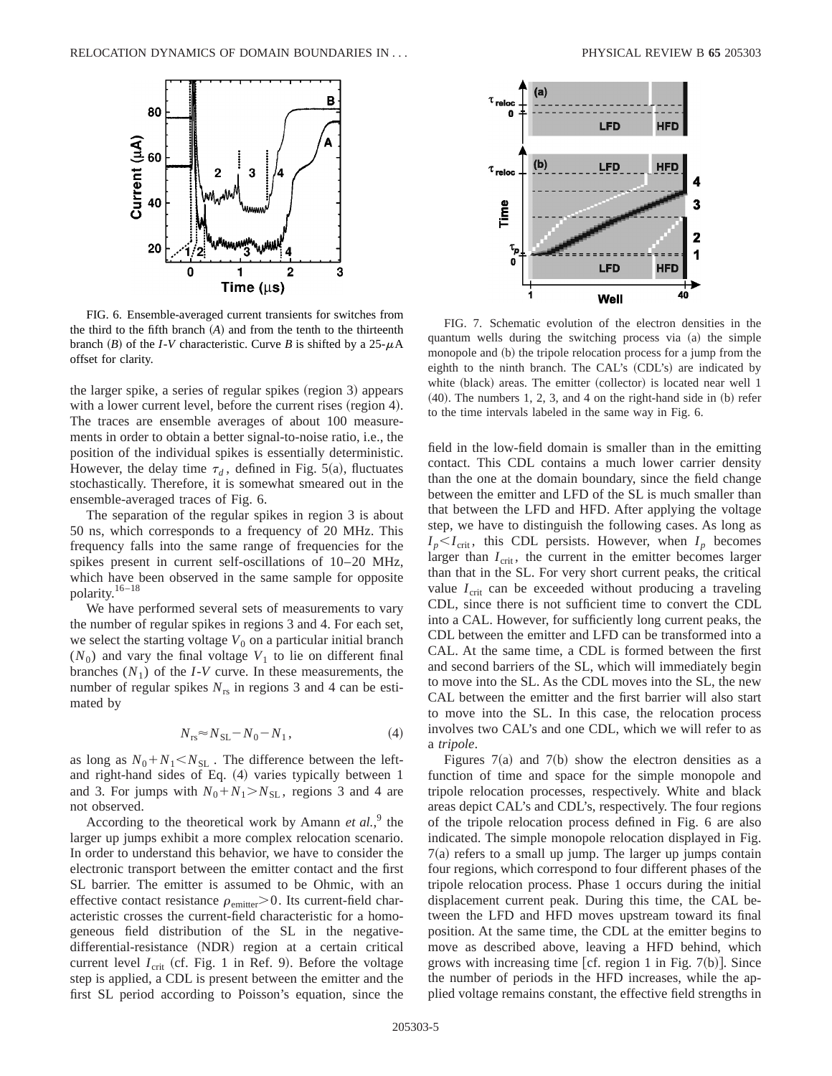

FIG. 6. Ensemble-averaged current transients for switches from the third to the fifth branch  $(A)$  and from the tenth to the thirteenth branch  $(B)$  of the *I*-*V* characteristic. Curve *B* is shifted by a 25- $\mu$ A offset for clarity.

the larger spike, a series of regular spikes (region 3) appears with a lower current level, before the current rises (region 4). The traces are ensemble averages of about 100 measurements in order to obtain a better signal-to-noise ratio, i.e., the position of the individual spikes is essentially deterministic. However, the delay time  $\tau_d$ , defined in Fig. 5(a), fluctuates stochastically. Therefore, it is somewhat smeared out in the ensemble-averaged traces of Fig. 6.

The separation of the regular spikes in region 3 is about 50 ns, which corresponds to a frequency of 20 MHz. This frequency falls into the same range of frequencies for the spikes present in current self-oscillations of 10–20 MHz, which have been observed in the same sample for opposite polarity.16–18

We have performed several sets of measurements to vary the number of regular spikes in regions 3 and 4. For each set, we select the starting voltage  $V_0$  on a particular initial branch  $(N_0)$  and vary the final voltage  $V_1$  to lie on different final branches  $(N_1)$  of the *I*-*V* curve. In these measurements, the number of regular spikes  $N_{rs}$  in regions 3 and 4 can be estimated by

$$
N_{\rm rs} \approx N_{\rm SL} - N_0 - N_1 \,, \tag{4}
$$

as long as  $N_0 + N_1 < N_{SL}$ . The difference between the leftand right-hand sides of Eq.  $(4)$  varies typically between 1 and 3. For jumps with  $N_0 + N_1 > N_{SL}$ , regions 3 and 4 are not observed.

According to the theoretical work by Amann *et al.*,<sup>9</sup> the larger up jumps exhibit a more complex relocation scenario. In order to understand this behavior, we have to consider the electronic transport between the emitter contact and the first SL barrier. The emitter is assumed to be Ohmic, with an effective contact resistance  $\rho_{\text{emitter}} > 0$ . Its current-field characteristic crosses the current-field characteristic for a homogeneous field distribution of the SL in the negativedifferential-resistance (NDR) region at a certain critical current level  $I_{\text{crit}}$  (cf. Fig. 1 in Ref. 9). Before the voltage step is applied, a CDL is present between the emitter and the first SL period according to Poisson's equation, since the



FIG. 7. Schematic evolution of the electron densities in the quantum wells during the switching process via (a) the simple monopole and (b) the tripole relocation process for a jump from the eighth to the ninth branch. The CAL's  $(CDL's)$  are indicated by white (black) areas. The emitter (collector) is located near well 1  $(40)$ . The numbers 1, 2, 3, and 4 on the right-hand side in  $(b)$  refer to the time intervals labeled in the same way in Fig. 6.

field in the low-field domain is smaller than in the emitting contact. This CDL contains a much lower carrier density than the one at the domain boundary, since the field change between the emitter and LFD of the SL is much smaller than that between the LFD and HFD. After applying the voltage step, we have to distinguish the following cases. As long as  $I_p < I_{\text{crit}}$ , this CDL persists. However, when  $I_p$  becomes larger than  $I_{\text{crit}}$ , the current in the emitter becomes larger than that in the SL. For very short current peaks, the critical value  $I_{\text{crit}}$  can be exceeded without producing a traveling CDL, since there is not sufficient time to convert the CDL into a CAL. However, for sufficiently long current peaks, the CDL between the emitter and LFD can be transformed into a CAL. At the same time, a CDL is formed between the first and second barriers of the SL, which will immediately begin to move into the SL. As the CDL moves into the SL, the new CAL between the emitter and the first barrier will also start to move into the SL. In this case, the relocation process involves two CAL's and one CDL, which we will refer to as a *tripole*.

Figures  $7(a)$  and  $7(b)$  show the electron densities as a function of time and space for the simple monopole and tripole relocation processes, respectively. White and black areas depict CAL's and CDL's, respectively. The four regions of the tripole relocation process defined in Fig. 6 are also indicated. The simple monopole relocation displayed in Fig.  $7(a)$  refers to a small up jump. The larger up jumps contain four regions, which correspond to four different phases of the tripole relocation process. Phase 1 occurs during the initial displacement current peak. During this time, the CAL between the LFD and HFD moves upstream toward its final position. At the same time, the CDL at the emitter begins to move as described above, leaving a HFD behind, which grows with increasing time [cf. region 1 in Fig.  $7(b)$ ]. Since the number of periods in the HFD increases, while the applied voltage remains constant, the effective field strengths in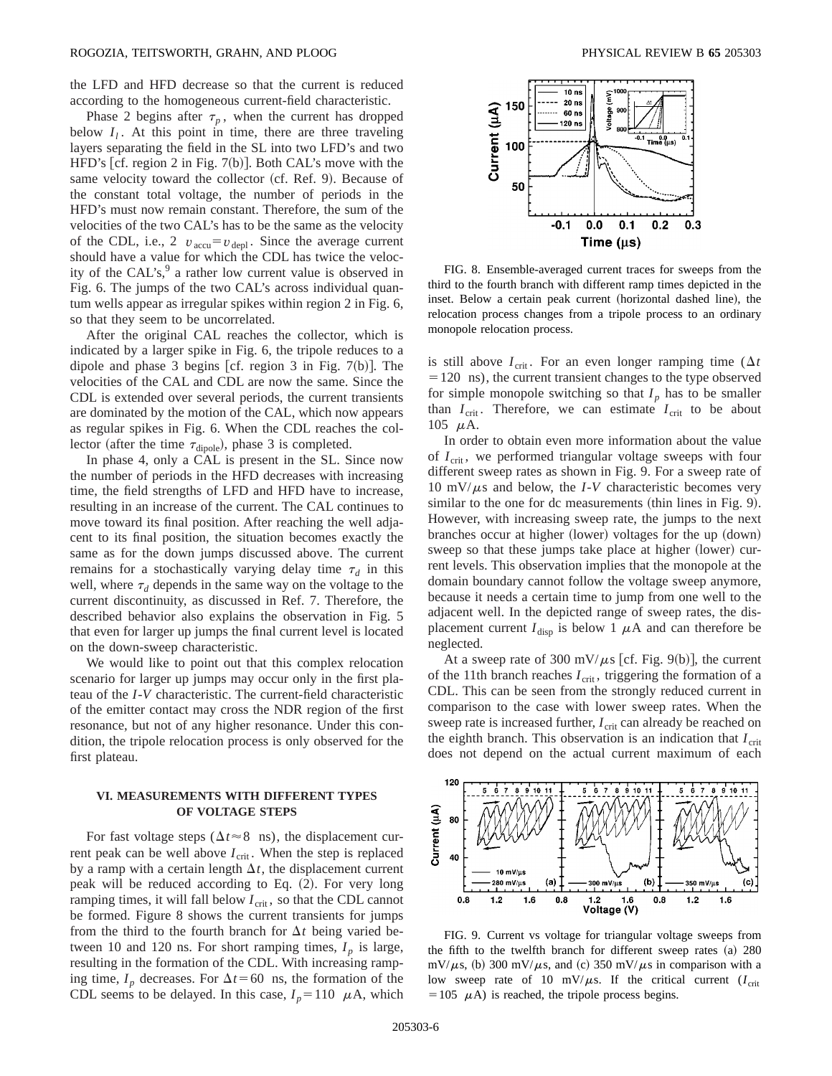the LFD and HFD decrease so that the current is reduced according to the homogeneous current-field characteristic.

Phase 2 begins after  $\tau_p$ , when the current has dropped below  $I_i$ . At this point in time, there are three traveling layers separating the field in the SL into two LFD's and two HFD's  $[cf.$  region 2 in Fig. 7(b)]. Both CAL's move with the same velocity toward the collector (cf. Ref. 9). Because of the constant total voltage, the number of periods in the HFD's must now remain constant. Therefore, the sum of the velocities of the two CAL's has to be the same as the velocity of the CDL, i.e., 2  $v_{\text{accu}} = v_{\text{depl}}$ . Since the average current should have a value for which the CDL has twice the velocity of the CAL's, $9$  a rather low current value is observed in Fig. 6. The jumps of the two CAL's across individual quantum wells appear as irregular spikes within region 2 in Fig. 6, so that they seem to be uncorrelated.

After the original CAL reaches the collector, which is indicated by a larger spike in Fig. 6, the tripole reduces to a dipole and phase 3 begins [cf. region 3 in Fig. 7(b)]. The velocities of the CAL and CDL are now the same. Since the CDL is extended over several periods, the current transients are dominated by the motion of the CAL, which now appears as regular spikes in Fig. 6. When the CDL reaches the collector (after the time  $\tau_{\text{dipole}}$ ), phase 3 is completed.

In phase 4, only a CAL is present in the SL. Since now the number of periods in the HFD decreases with increasing time, the field strengths of LFD and HFD have to increase, resulting in an increase of the current. The CAL continues to move toward its final position. After reaching the well adjacent to its final position, the situation becomes exactly the same as for the down jumps discussed above. The current remains for a stochastically varying delay time  $\tau_d$  in this well, where  $\tau_d$  depends in the same way on the voltage to the current discontinuity, as discussed in Ref. 7. Therefore, the described behavior also explains the observation in Fig. 5 that even for larger up jumps the final current level is located on the down-sweep characteristic.

We would like to point out that this complex relocation scenario for larger up jumps may occur only in the first plateau of the *I*-*V* characteristic. The current-field characteristic of the emitter contact may cross the NDR region of the first resonance, but not of any higher resonance. Under this condition, the tripole relocation process is only observed for the first plateau.

# **VI. MEASUREMENTS WITH DIFFERENT TYPES OF VOLTAGE STEPS**

For fast voltage steps ( $\Delta t \approx 8$  ns), the displacement current peak can be well above  $I_{\text{crit}}$ . When the step is replaced by a ramp with a certain length  $\Delta t$ , the displacement current peak will be reduced according to Eq.  $(2)$ . For very long ramping times, it will fall below  $I_{\text{crit}}$ , so that the CDL cannot be formed. Figure 8 shows the current transients for jumps from the third to the fourth branch for  $\Delta t$  being varied between 10 and 120 ns. For short ramping times,  $I_p$  is large, resulting in the formation of the CDL. With increasing ramping time,  $I_p$  decreases. For  $\Delta t = 60$  ns, the formation of the CDL seems to be delayed. In this case,  $I_p = 110 \mu$ A, which



FIG. 8. Ensemble-averaged current traces for sweeps from the third to the fourth branch with different ramp times depicted in the inset. Below a certain peak current (horizontal dashed line), the relocation process changes from a tripole process to an ordinary monopole relocation process.

is still above  $I_{\text{crit}}$ . For an even longer ramping time ( $\Delta t$ )  $=120$  ns), the current transient changes to the type observed for simple monopole switching so that  $I_p$  has to be smaller than  $I_{\text{crit}}$ . Therefore, we can estimate  $I_{\text{crit}}$  to be about 105  $\mu$ A.

In order to obtain even more information about the value of *I*<sub>crit</sub>, we performed triangular voltage sweeps with four different sweep rates as shown in Fig. 9. For a sweep rate of 10 mV/ $\mu$ s and below, the *I*-*V* characteristic becomes very similar to the one for dc measurements (thin lines in Fig.  $9$ ). However, with increasing sweep rate, the jumps to the next branches occur at higher (lower) voltages for the up (down) sweep so that these jumps take place at higher (lower) current levels. This observation implies that the monopole at the domain boundary cannot follow the voltage sweep anymore, because it needs a certain time to jump from one well to the adjacent well. In the depicted range of sweep rates, the displacement current  $I_{\text{disp}}$  is below 1  $\mu$ A and can therefore be neglected.

At a sweep rate of 300 mV/ $\mu$ s [cf. Fig. 9(b)], the current of the 11th branch reaches  $I_{\text{crit}}$ , triggering the formation of a CDL. This can be seen from the strongly reduced current in comparison to the case with lower sweep rates. When the sweep rate is increased further,  $I_{\text{crit}}$  can already be reached on the eighth branch. This observation is an indication that  $I_{\text{crit}}$ does not depend on the actual current maximum of each



FIG. 9. Current vs voltage for triangular voltage sweeps from the fifth to the twelfth branch for different sweep rates  $(a)$  280  $mV/\mu s$ , (b) 300 mV/ $\mu s$ , and (c) 350 mV/ $\mu s$  in comparison with a low sweep rate of 10 mV/ $\mu$ s. If the critical current ( $I_{\text{crit}}$ )  $=105 \mu A$ ) is reached, the tripole process begins.